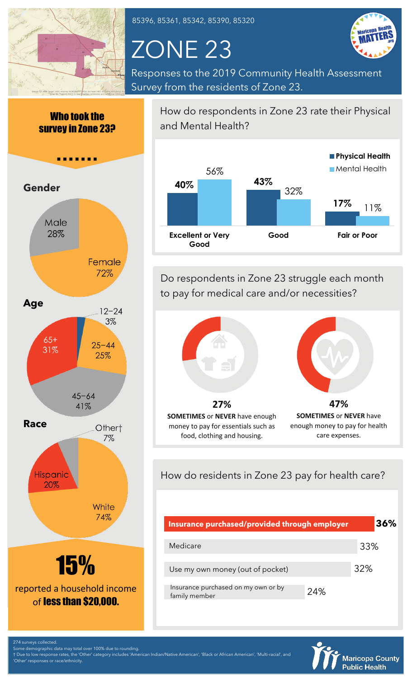

85396, 85361, 85342, 85390, 85320

# ZONE 23



Responses to the 2019 Community Health Assessment Survey from the residents of Zone 23.

Who took the survey in Zone 23?



How do respondents in Zone 23 rate their Physical and Mental Health?



Do respondents in Zone 23 struggle each month to pay for medical care and/or necessities?



**SOMETIMES** or **NEVER** have enough money to pay for essentials such as food, clothing and housing.



**47% SOMETIMES** or **NEVER** have enough money to pay for health care expenses.

How do residents in Zone 23 pay for health care?

| Insurance purchased/provided through employer        |     | 36% |
|------------------------------------------------------|-----|-----|
| Medicare                                             |     | 33% |
| Use my own money (out of pocket)                     |     | 32% |
| Insurance purchased on my own or by<br>family member | 24% |     |



274 surveys collected.

Some demographic data may total over 100% due to rounding. † Due to low response rates, the 'Other' category includes 'American Indian/Native American', 'Black or African American', 'Multi-racial', and responses or race/ethnicity.